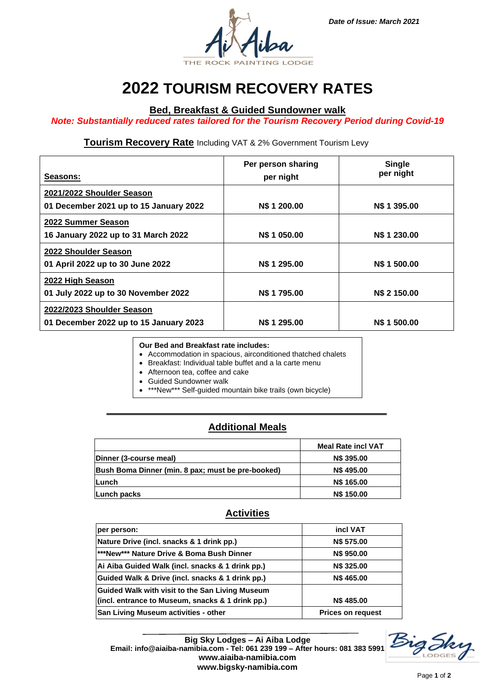



# **2022 TOURISM RECOVERY RATES**

### **Bed, Breakfast & Guided Sundowner walk**

*Note: Substantially reduced rates tailored for the Tourism Recovery Period during Covid-19*

#### **Tourism Recovery Rate** Including VAT & 2% Government Tourism Levy

| Seasons:                                                            | Per person sharing<br>per night | <b>Single</b><br>per night |
|---------------------------------------------------------------------|---------------------------------|----------------------------|
| 2021/2022 Shoulder Season<br>01 December 2021 up to 15 January 2022 | N\$ 1 200.00                    | N\$ 1 395,00               |
| 2022 Summer Season<br>16 January 2022 up to 31 March 2022           | N\$ 1 050.00                    | <b>N\$ 1 230.00</b>        |
| 2022 Shoulder Season<br>01 April 2022 up to 30 June 2022            | N\$ 1 295.00                    | <b>N\$ 1 500.00</b>        |
| 2022 High Season<br>01 July 2022 up to 30 November 2022             | N\$ 1 795.00                    | N\$ 2 150.00               |
| 2022/2023 Shoulder Season<br>01 December 2022 up to 15 January 2023 | N\$ 1 295.00                    | <b>NS 1 500.00</b>         |

**Our Bed and Breakfast rate includes:**

- Accommodation in spacious, airconditioned thatched chalets
- Breakfast: Individual table buffet and a la carte menu
- Afternoon tea, coffee and cake
- Guided Sundowner walk
- \*\*\*New\*\*\* Self-guided mountain bike trails (own bicycle)

# **Additional Meals**

|                                                   | <b>Meal Rate incl VAT</b> |
|---------------------------------------------------|---------------------------|
| Dinner (3-course meal)                            | <b>N\$ 395.00</b>         |
| Bush Boma Dinner (min. 8 pax; must be pre-booked) | <b>N\$495.00</b>          |
| <b>Lunch</b>                                      | N\$ 165.00                |
| Lunch packs                                       | <b>N\$ 150.00</b>         |

### **Activities**

| per person:                                      | incl VAT                 |
|--------------------------------------------------|--------------------------|
| Nature Drive (incl. snacks & 1 drink pp.)        | N\$ 575.00               |
| ***New*** Nature Drive & Boma Bush Dinner        | <b>N\$ 950.00</b>        |
| Ai Aiba Guided Walk (incl. snacks & 1 drink pp.) | N\$ 325.00               |
| Guided Walk & Drive (incl. snacks & 1 drink pp.) | N\$465.00                |
| Guided Walk with visit to the San Living Museum  |                          |
| (incl. entrance to Museum, snacks & 1 drink pp.) | <b>N\$485.00</b>         |
| San Living Museum activities - other             | <b>Prices on request</b> |

**Big Sky Lodges – Ai Aiba Lodge Email: info@aiaiba-namibia.com - Tel: 061 239 199 – After hours: 081 383 5991 www.aiaiba-namibia.com www.bigsky-namibia.com**

Skr